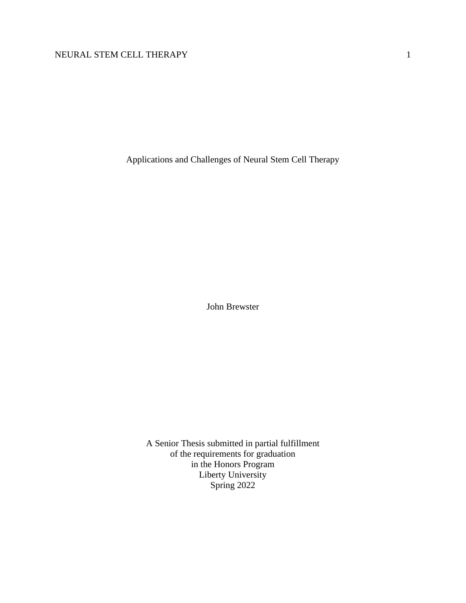Applications and Challenges of Neural Stem Cell Therapy

John Brewster

A Senior Thesis submitted in partial fulfillment of the requirements for graduation in the Honors Program Liberty University Spring 2022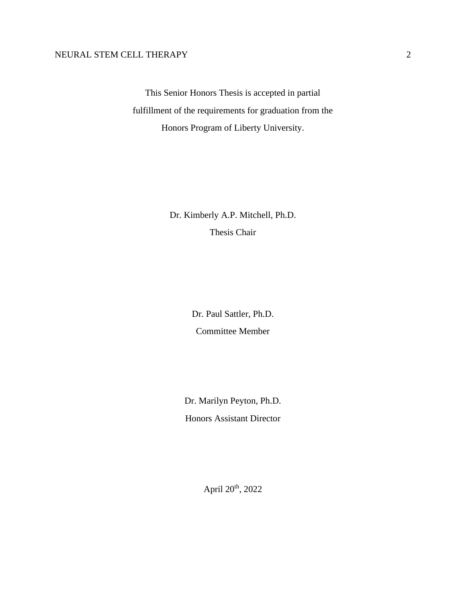This Senior Honors Thesis is accepted in partial fulfillment of the requirements for graduation from the Honors Program of Liberty University.

> Dr. Kimberly A.P. Mitchell, Ph.D. Thesis Chair

> > Dr. Paul Sattler, Ph.D. Committee Member

Dr. Marilyn Peyton, Ph.D. Honors Assistant Director

April 20th, 2022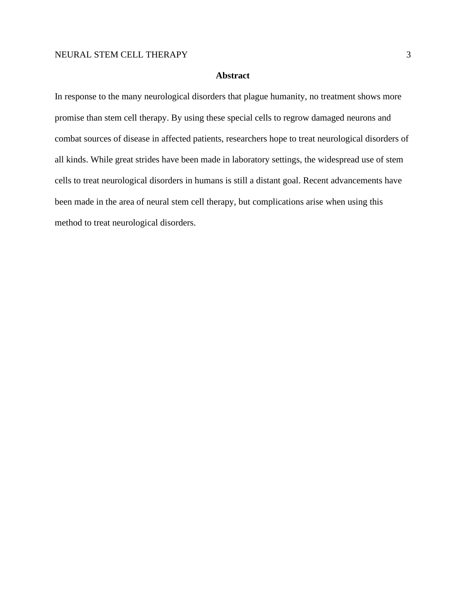# **Abstract**

In response to the many neurological disorders that plague humanity, no treatment shows more promise than stem cell therapy. By using these special cells to regrow damaged neurons and combat sources of disease in affected patients, researchers hope to treat neurological disorders of all kinds. While great strides have been made in laboratory settings, the widespread use of stem cells to treat neurological disorders in humans is still a distant goal. Recent advancements have been made in the area of neural stem cell therapy, but complications arise when using this method to treat neurological disorders.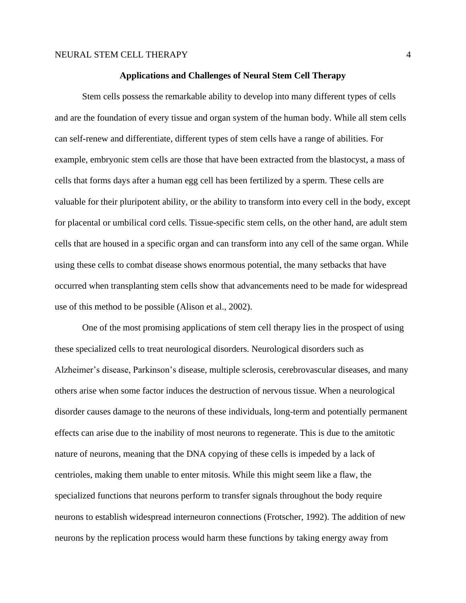#### **Applications and Challenges of Neural Stem Cell Therapy**

Stem cells possess the remarkable ability to develop into many different types of cells and are the foundation of every tissue and organ system of the human body. While all stem cells can self-renew and differentiate, different types of stem cells have a range of abilities. For example, embryonic stem cells are those that have been extracted from the blastocyst, a mass of cells that forms days after a human egg cell has been fertilized by a sperm. These cells are valuable for their pluripotent ability, or the ability to transform into every cell in the body, except for placental or umbilical cord cells. Tissue-specific stem cells, on the other hand, are adult stem cells that are housed in a specific organ and can transform into any cell of the same organ. While using these cells to combat disease shows enormous potential, the many setbacks that have occurred when transplanting stem cells show that advancements need to be made for widespread use of this method to be possible (Alison et al., 2002).

One of the most promising applications of stem cell therapy lies in the prospect of using these specialized cells to treat neurological disorders. Neurological disorders such as Alzheimer's disease, Parkinson's disease, multiple sclerosis, cerebrovascular diseases, and many others arise when some factor induces the destruction of nervous tissue. When a neurological disorder causes damage to the neurons of these individuals, long-term and potentially permanent effects can arise due to the inability of most neurons to regenerate. This is due to the amitotic nature of neurons, meaning that the DNA copying of these cells is impeded by a lack of centrioles, making them unable to enter mitosis. While this might seem like a flaw, the specialized functions that neurons perform to transfer signals throughout the body require neurons to establish widespread interneuron connections (Frotscher, 1992). The addition of new neurons by the replication process would harm these functions by taking energy away from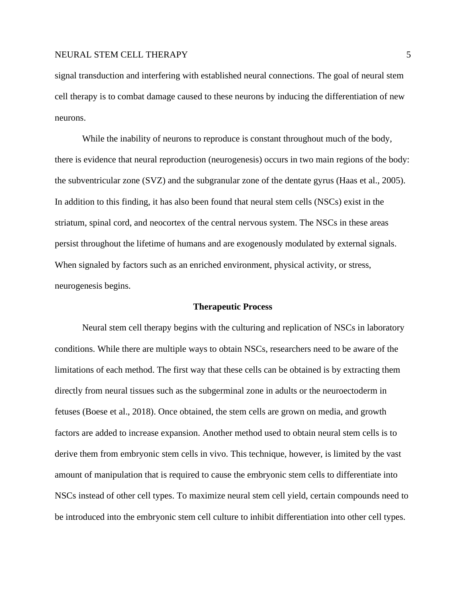signal transduction and interfering with established neural connections. The goal of neural stem cell therapy is to combat damage caused to these neurons by inducing the differentiation of new neurons.

While the inability of neurons to reproduce is constant throughout much of the body, there is evidence that neural reproduction (neurogenesis) occurs in two main regions of the body: the subventricular zone (SVZ) and the subgranular zone of the dentate gyrus (Haas et al., 2005). In addition to this finding, it has also been found that neural stem cells (NSCs) exist in the striatum, spinal cord, and neocortex of the central nervous system. The NSCs in these areas persist throughout the lifetime of humans and are exogenously modulated by external signals. When signaled by factors such as an enriched environment, physical activity, or stress, neurogenesis begins.

#### **Therapeutic Process**

Neural stem cell therapy begins with the culturing and replication of NSCs in laboratory conditions. While there are multiple ways to obtain NSCs, researchers need to be aware of the limitations of each method. The first way that these cells can be obtained is by extracting them directly from neural tissues such as the subgerminal zone in adults or the neuroectoderm in fetuses (Boese et al., 2018). Once obtained, the stem cells are grown on media, and growth factors are added to increase expansion. Another method used to obtain neural stem cells is to derive them from embryonic stem cells in vivo. This technique, however, is limited by the vast amount of manipulation that is required to cause the embryonic stem cells to differentiate into NSCs instead of other cell types. To maximize neural stem cell yield, certain compounds need to be introduced into the embryonic stem cell culture to inhibit differentiation into other cell types.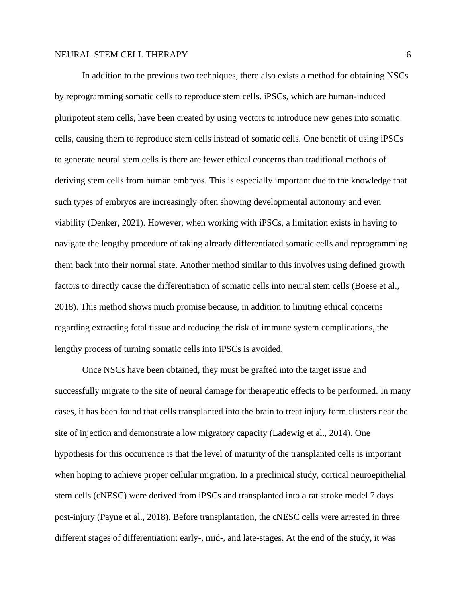In addition to the previous two techniques, there also exists a method for obtaining NSCs by reprogramming somatic cells to reproduce stem cells. iPSCs, which are human-induced pluripotent stem cells, have been created by using vectors to introduce new genes into somatic cells, causing them to reproduce stem cells instead of somatic cells. One benefit of using iPSCs to generate neural stem cells is there are fewer ethical concerns than traditional methods of deriving stem cells from human embryos. This is especially important due to the knowledge that such types of embryos are increasingly often showing developmental autonomy and even viability (Denker, 2021). However, when working with iPSCs, a limitation exists in having to navigate the lengthy procedure of taking already differentiated somatic cells and reprogramming them back into their normal state. Another method similar to this involves using defined growth factors to directly cause the differentiation of somatic cells into neural stem cells (Boese et al., 2018). This method shows much promise because, in addition to limiting ethical concerns regarding extracting fetal tissue and reducing the risk of immune system complications, the lengthy process of turning somatic cells into iPSCs is avoided.

Once NSCs have been obtained, they must be grafted into the target issue and successfully migrate to the site of neural damage for therapeutic effects to be performed. In many cases, it has been found that cells transplanted into the brain to treat injury form clusters near the site of injection and demonstrate a low migratory capacity (Ladewig et al., 2014). One hypothesis for this occurrence is that the level of maturity of the transplanted cells is important when hoping to achieve proper cellular migration. In a preclinical study, cortical neuroepithelial stem cells (cNESC) were derived from iPSCs and transplanted into a rat stroke model 7 days post-injury (Payne et al., 2018). Before transplantation, the cNESC cells were arrested in three different stages of differentiation: early-, mid-, and late-stages. At the end of the study, it was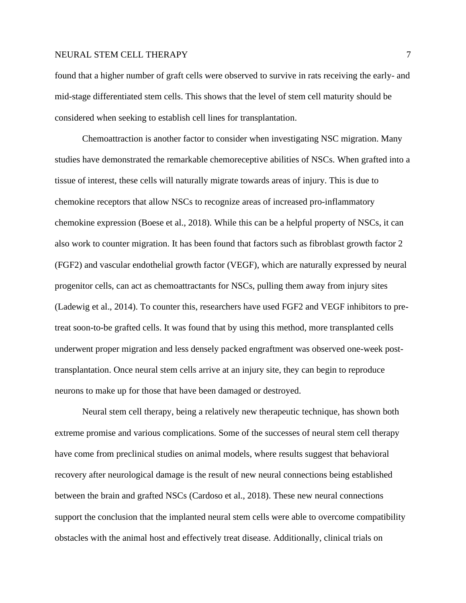found that a higher number of graft cells were observed to survive in rats receiving the early- and mid-stage differentiated stem cells. This shows that the level of stem cell maturity should be considered when seeking to establish cell lines for transplantation.

Chemoattraction is another factor to consider when investigating NSC migration. Many studies have demonstrated the remarkable chemoreceptive abilities of NSCs. When grafted into a tissue of interest, these cells will naturally migrate towards areas of injury. This is due to chemokine receptors that allow NSCs to recognize areas of increased pro-inflammatory chemokine expression (Boese et al., 2018). While this can be a helpful property of NSCs, it can also work to counter migration. It has been found that factors such as fibroblast growth factor 2 (FGF2) and vascular endothelial growth factor (VEGF), which are naturally expressed by neural progenitor cells, can act as chemoattractants for NSCs, pulling them away from injury sites (Ladewig et al., 2014). To counter this, researchers have used FGF2 and VEGF inhibitors to pretreat soon-to-be grafted cells. It was found that by using this method, more transplanted cells underwent proper migration and less densely packed engraftment was observed one-week posttransplantation. Once neural stem cells arrive at an injury site, they can begin to reproduce neurons to make up for those that have been damaged or destroyed.

Neural stem cell therapy, being a relatively new therapeutic technique, has shown both extreme promise and various complications. Some of the successes of neural stem cell therapy have come from preclinical studies on animal models, where results suggest that behavioral recovery after neurological damage is the result of new neural connections being established between the brain and grafted NSCs (Cardoso et al., 2018). These new neural connections support the conclusion that the implanted neural stem cells were able to overcome compatibility obstacles with the animal host and effectively treat disease. Additionally, clinical trials on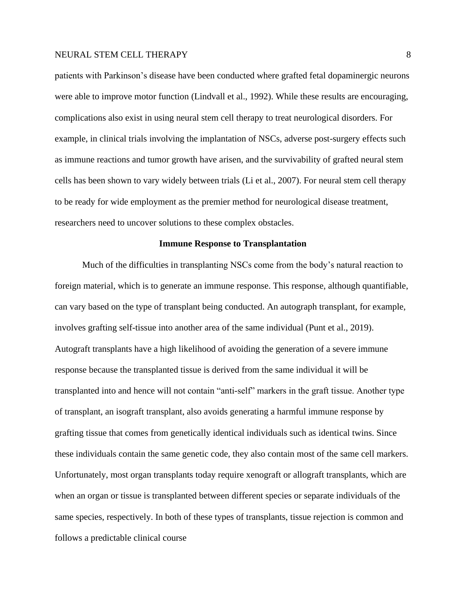patients with Parkinson's disease have been conducted where grafted fetal dopaminergic neurons were able to improve motor function (Lindvall et al., 1992). While these results are encouraging, complications also exist in using neural stem cell therapy to treat neurological disorders. For example, in clinical trials involving the implantation of NSCs, adverse post-surgery effects such as immune reactions and tumor growth have arisen, and the survivability of grafted neural stem cells has been shown to vary widely between trials (Li et al., 2007). For neural stem cell therapy to be ready for wide employment as the premier method for neurological disease treatment, researchers need to uncover solutions to these complex obstacles.

#### **Immune Response to Transplantation**

Much of the difficulties in transplanting NSCs come from the body's natural reaction to foreign material, which is to generate an immune response. This response, although quantifiable, can vary based on the type of transplant being conducted. An autograph transplant, for example, involves grafting self-tissue into another area of the same individual (Punt et al., 2019). Autograft transplants have a high likelihood of avoiding the generation of a severe immune response because the transplanted tissue is derived from the same individual it will be transplanted into and hence will not contain "anti-self" markers in the graft tissue. Another type of transplant, an isograft transplant, also avoids generating a harmful immune response by grafting tissue that comes from genetically identical individuals such as identical twins. Since these individuals contain the same genetic code, they also contain most of the same cell markers. Unfortunately, most organ transplants today require xenograft or allograft transplants, which are when an organ or tissue is transplanted between different species or separate individuals of the same species, respectively. In both of these types of transplants, tissue rejection is common and follows a predictable clinical course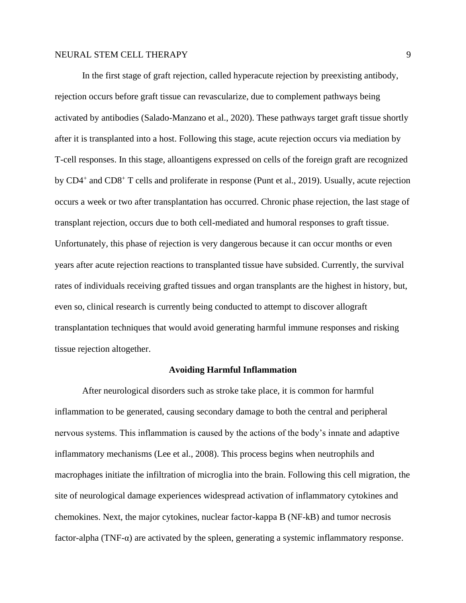In the first stage of graft rejection, called hyperacute rejection by preexisting antibody, rejection occurs before graft tissue can revascularize, due to complement pathways being activated by antibodies (Salado-Manzano et al., 2020). These pathways target graft tissue shortly after it is transplanted into a host. Following this stage, acute rejection occurs via mediation by T-cell responses. In this stage, alloantigens expressed on cells of the foreign graft are recognized by CD4<sup>+</sup> and CD8<sup>+</sup> T cells and proliferate in response (Punt et al., 2019). Usually, acute rejection occurs a week or two after transplantation has occurred. Chronic phase rejection, the last stage of transplant rejection, occurs due to both cell-mediated and humoral responses to graft tissue. Unfortunately, this phase of rejection is very dangerous because it can occur months or even years after acute rejection reactions to transplanted tissue have subsided. Currently, the survival rates of individuals receiving grafted tissues and organ transplants are the highest in history, but, even so, clinical research is currently being conducted to attempt to discover allograft transplantation techniques that would avoid generating harmful immune responses and risking tissue rejection altogether.

#### **Avoiding Harmful Inflammation**

After neurological disorders such as stroke take place, it is common for harmful inflammation to be generated, causing secondary damage to both the central and peripheral nervous systems. This inflammation is caused by the actions of the body's innate and adaptive inflammatory mechanisms (Lee et al., 2008). This process begins when neutrophils and macrophages initiate the infiltration of microglia into the brain. Following this cell migration, the site of neurological damage experiences widespread activation of inflammatory cytokines and chemokines. Next, the major cytokines, nuclear factor-kappa B (NF-kB) and tumor necrosis factor-alpha (TNF- $\alpha$ ) are activated by the spleen, generating a systemic inflammatory response.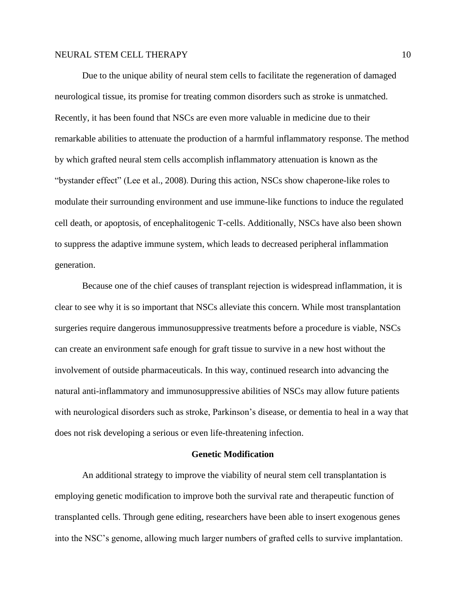Due to the unique ability of neural stem cells to facilitate the regeneration of damaged neurological tissue, its promise for treating common disorders such as stroke is unmatched. Recently, it has been found that NSCs are even more valuable in medicine due to their remarkable abilities to attenuate the production of a harmful inflammatory response. The method by which grafted neural stem cells accomplish inflammatory attenuation is known as the "bystander effect" (Lee et al., 2008). During this action, NSCs show chaperone-like roles to modulate their surrounding environment and use immune-like functions to induce the regulated cell death, or apoptosis, of encephalitogenic T-cells. Additionally, NSCs have also been shown to suppress the adaptive immune system, which leads to decreased peripheral inflammation generation.

Because one of the chief causes of transplant rejection is widespread inflammation, it is clear to see why it is so important that NSCs alleviate this concern. While most transplantation surgeries require dangerous immunosuppressive treatments before a procedure is viable, NSCs can create an environment safe enough for graft tissue to survive in a new host without the involvement of outside pharmaceuticals. In this way, continued research into advancing the natural anti-inflammatory and immunosuppressive abilities of NSCs may allow future patients with neurological disorders such as stroke, Parkinson's disease, or dementia to heal in a way that does not risk developing a serious or even life-threatening infection.

# **Genetic Modification**

An additional strategy to improve the viability of neural stem cell transplantation is employing genetic modification to improve both the survival rate and therapeutic function of transplanted cells. Through gene editing, researchers have been able to insert exogenous genes into the NSC's genome, allowing much larger numbers of grafted cells to survive implantation.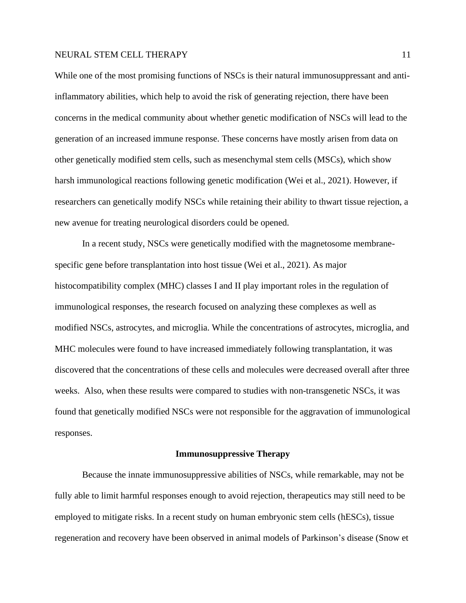While one of the most promising functions of NSCs is their natural immunosuppressant and antiinflammatory abilities, which help to avoid the risk of generating rejection, there have been concerns in the medical community about whether genetic modification of NSCs will lead to the generation of an increased immune response. These concerns have mostly arisen from data on other genetically modified stem cells, such as mesenchymal stem cells (MSCs), which show harsh immunological reactions following genetic modification (Wei et al., 2021). However, if researchers can genetically modify NSCs while retaining their ability to thwart tissue rejection, a new avenue for treating neurological disorders could be opened.

In a recent study, NSCs were genetically modified with the magnetosome membranespecific gene before transplantation into host tissue (Wei et al., 2021). As major histocompatibility complex (MHC) classes I and II play important roles in the regulation of immunological responses, the research focused on analyzing these complexes as well as modified NSCs, astrocytes, and microglia. While the concentrations of astrocytes, microglia, and MHC molecules were found to have increased immediately following transplantation, it was discovered that the concentrations of these cells and molecules were decreased overall after three weeks. Also, when these results were compared to studies with non-transgenetic NSCs, it was found that genetically modified NSCs were not responsible for the aggravation of immunological responses.

#### **Immunosuppressive Therapy**

Because the innate immunosuppressive abilities of NSCs, while remarkable, may not be fully able to limit harmful responses enough to avoid rejection, therapeutics may still need to be employed to mitigate risks. In a recent study on human embryonic stem cells (hESCs), tissue regeneration and recovery have been observed in animal models of Parkinson's disease (Snow et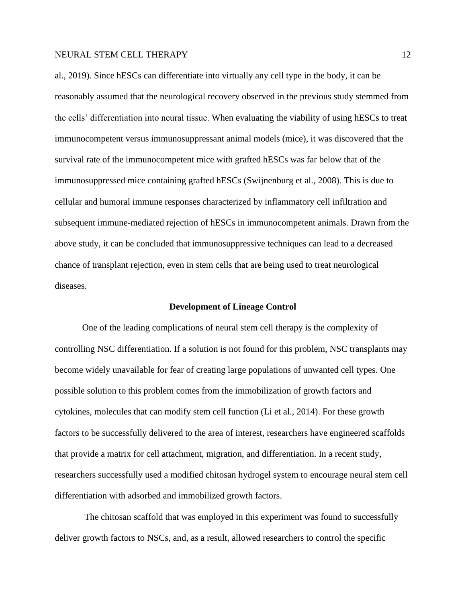al., 2019). Since hESCs can differentiate into virtually any cell type in the body, it can be reasonably assumed that the neurological recovery observed in the previous study stemmed from the cells' differentiation into neural tissue. When evaluating the viability of using hESCs to treat immunocompetent versus immunosuppressant animal models (mice), it was discovered that the survival rate of the immunocompetent mice with grafted hESCs was far below that of the immunosuppressed mice containing grafted hESCs (Swijnenburg et al., 2008). This is due to cellular and humoral immune responses characterized by inflammatory cell infiltration and subsequent immune-mediated rejection of hESCs in immunocompetent animals. Drawn from the above study, it can be concluded that immunosuppressive techniques can lead to a decreased chance of transplant rejection, even in stem cells that are being used to treat neurological diseases.

#### **Development of Lineage Control**

One of the leading complications of neural stem cell therapy is the complexity of controlling NSC differentiation. If a solution is not found for this problem, NSC transplants may become widely unavailable for fear of creating large populations of unwanted cell types. One possible solution to this problem comes from the immobilization of growth factors and cytokines, molecules that can modify stem cell function (Li et al., 2014). For these growth factors to be successfully delivered to the area of interest, researchers have engineered scaffolds that provide a matrix for cell attachment, migration, and differentiation. In a recent study, researchers successfully used a modified chitosan hydrogel system to encourage neural stem cell differentiation with adsorbed and immobilized growth factors.

The chitosan scaffold that was employed in this experiment was found to successfully deliver growth factors to NSCs, and, as a result, allowed researchers to control the specific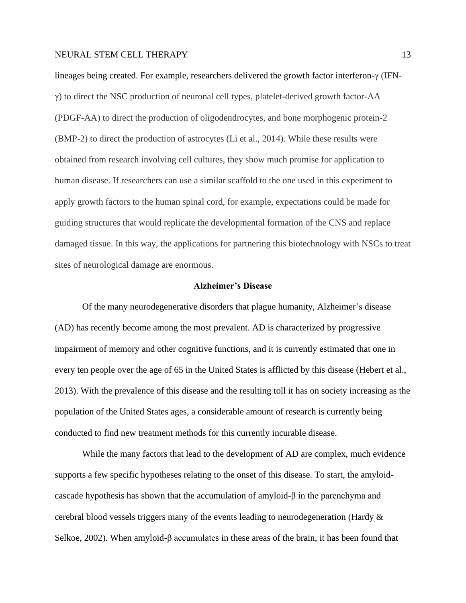lineages being created. For example, researchers delivered the growth factor interferon-γ (IFNγ) to direct the NSC production of neuronal cell types, platelet-derived growth factor-AA (PDGF-AA) to direct the production of oligodendrocytes, and bone morphogenic protein-2 (BMP-2) to direct the production of astrocytes (Li et al., 2014). While these results were obtained from research involving cell cultures, they show much promise for application to human disease. If researchers can use a similar scaffold to the one used in this experiment to apply growth factors to the human spinal cord, for example, expectations could be made for guiding structures that would replicate the developmental formation of the CNS and replace damaged tissue. In this way, the applications for partnering this biotechnology with NSCs to treat sites of neurological damage are enormous.

#### **Alzheimer's Disease**

Of the many neurodegenerative disorders that plague humanity, Alzheimer's disease (AD) has recently become among the most prevalent. AD is characterized by progressive impairment of memory and other cognitive functions, and it is currently estimated that one in every ten people over the age of 65 in the United States is afflicted by this disease (Hebert et al., 2013). With the prevalence of this disease and the resulting toll it has on society increasing as the population of the United States ages, a considerable amount of research is currently being conducted to find new treatment methods for this currently incurable disease.

While the many factors that lead to the development of AD are complex, much evidence supports a few specific hypotheses relating to the onset of this disease. To start, the amyloidcascade hypothesis has shown that the accumulation of amyloid-β in the parenchyma and cerebral blood vessels triggers many of the events leading to neurodegeneration (Hardy & Selkoe, 2002). When amyloid-β accumulates in these areas of the brain, it has been found that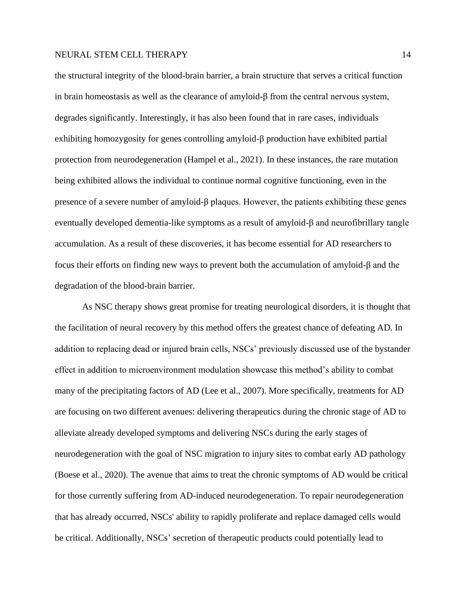the structural integrity of the blood-brain barrier, a brain structure that serves a critical function in brain homeostasis as well as the clearance of amyloid-β from the central nervous system, degrades significantly. Interestingly, it has also been found that in rare cases, individuals exhibiting homozygosity for genes controlling amyloid-β production have exhibited partial protection from neurodegeneration (Hampel et al., 2021). In these instances, the rare mutation being exhibited allows the individual to continue normal cognitive functioning, even in the presence of a severe number of amyloid-β plaques. However, the patients exhibiting these genes eventually developed dementia-like symptoms as a result of amyloid-β and neurofibrillary tangle accumulation. As a result of these discoveries, it has become essential for AD researchers to focus their efforts on finding new ways to prevent both the accumulation of amyloid-β and the degradation of the blood-brain barrier.

As NSC therapy shows great promise for treating neurological disorders, it is thought that the facilitation of neural recovery by this method offers the greatest chance of defeating AD. In addition to replacing dead or injured brain cells, NSCs' previously discussed use of the bystander effect in addition to microenvironment modulation showcase this method's ability to combat many of the precipitating factors of AD (Lee et al., 2007). More specifically, treatments for AD are focusing on two different avenues: delivering therapeutics during the chronic stage of AD to alleviate already developed symptoms and delivering NSCs during the early stages of neurodegeneration with the goal of NSC migration to injury sites to combat early AD pathology (Boese et al., 2020). The avenue that aims to treat the chronic symptoms of AD would be critical for those currently suffering from AD-induced neurodegeneration. To repair neurodegeneration that has already occurred, NSCs' ability to rapidly proliferate and replace damaged cells would be critical. Additionally, NSCs' secretion of therapeutic products could potentially lead to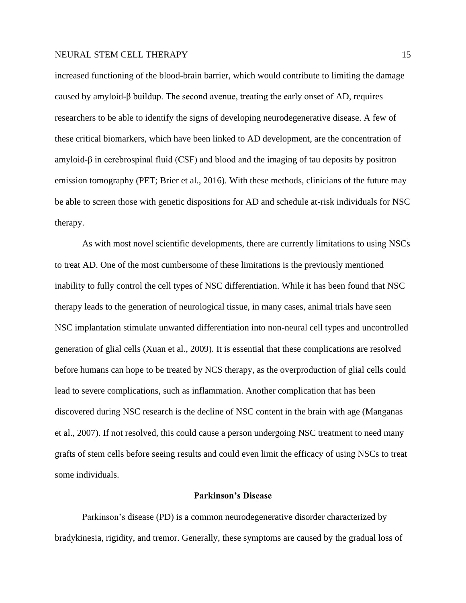increased functioning of the blood-brain barrier, which would contribute to limiting the damage caused by amyloid-β buildup. The second avenue, treating the early onset of AD, requires researchers to be able to identify the signs of developing neurodegenerative disease. A few of these critical biomarkers, which have been linked to AD development, are the concentration of amyloid-β in cerebrospinal fluid (CSF) and blood and the imaging of tau deposits by positron emission tomography (PET; Brier et al., 2016). With these methods, clinicians of the future may be able to screen those with genetic dispositions for AD and schedule at-risk individuals for NSC therapy.

As with most novel scientific developments, there are currently limitations to using NSCs to treat AD. One of the most cumbersome of these limitations is the previously mentioned inability to fully control the cell types of NSC differentiation. While it has been found that NSC therapy leads to the generation of neurological tissue, in many cases, animal trials have seen NSC implantation stimulate unwanted differentiation into non-neural cell types and uncontrolled generation of glial cells (Xuan et al., 2009). It is essential that these complications are resolved before humans can hope to be treated by NCS therapy, as the overproduction of glial cells could lead to severe complications, such as inflammation. Another complication that has been discovered during NSC research is the decline of NSC content in the brain with age (Manganas et al., 2007). If not resolved, this could cause a person undergoing NSC treatment to need many grafts of stem cells before seeing results and could even limit the efficacy of using NSCs to treat some individuals.

#### **Parkinson's Disease**

Parkinson's disease (PD) is a common neurodegenerative disorder characterized by bradykinesia, rigidity, and tremor. Generally, these symptoms are caused by the gradual loss of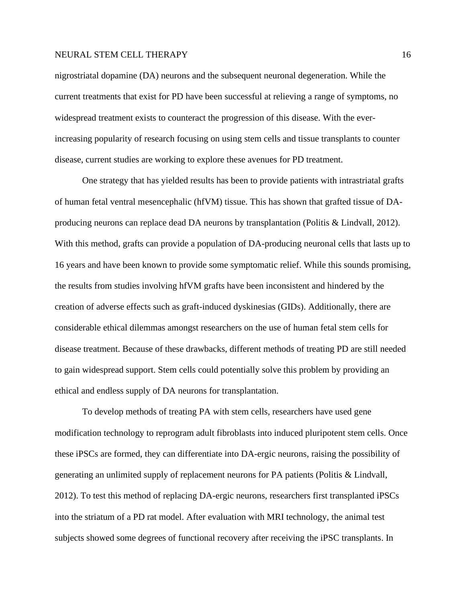nigrostriatal dopamine (DA) neurons and the subsequent neuronal degeneration. While the current treatments that exist for PD have been successful at relieving a range of symptoms, no widespread treatment exists to counteract the progression of this disease. With the everincreasing popularity of research focusing on using stem cells and tissue transplants to counter disease, current studies are working to explore these avenues for PD treatment.

One strategy that has yielded results has been to provide patients with intrastriatal grafts of human fetal ventral mesencephalic (hfVM) tissue. This has shown that grafted tissue of DAproducing neurons can replace dead DA neurons by transplantation (Politis & Lindvall, 2012). With this method, grafts can provide a population of DA-producing neuronal cells that lasts up to 16 years and have been known to provide some symptomatic relief. While this sounds promising, the results from studies involving hfVM grafts have been inconsistent and hindered by the creation of adverse effects such as graft-induced dyskinesias (GIDs). Additionally, there are considerable ethical dilemmas amongst researchers on the use of human fetal stem cells for disease treatment. Because of these drawbacks, different methods of treating PD are still needed to gain widespread support. Stem cells could potentially solve this problem by providing an ethical and endless supply of DA neurons for transplantation.

To develop methods of treating PA with stem cells, researchers have used gene modification technology to reprogram adult fibroblasts into induced pluripotent stem cells. Once these iPSCs are formed, they can differentiate into DA-ergic neurons, raising the possibility of generating an unlimited supply of replacement neurons for PA patients (Politis & Lindvall, 2012). To test this method of replacing DA-ergic neurons, researchers first transplanted iPSCs into the striatum of a PD rat model. After evaluation with MRI technology, the animal test subjects showed some degrees of functional recovery after receiving the iPSC transplants. In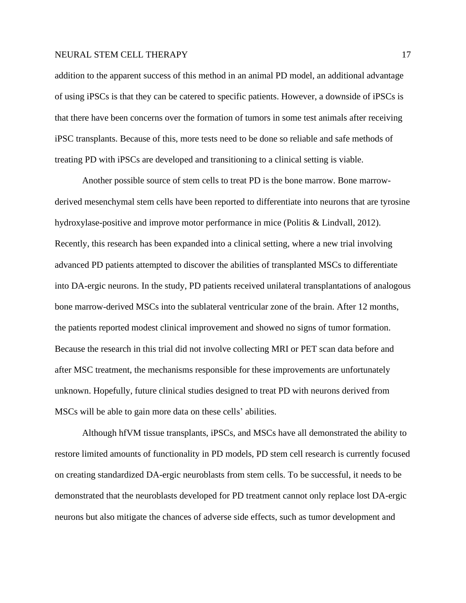addition to the apparent success of this method in an animal PD model, an additional advantage of using iPSCs is that they can be catered to specific patients. However, a downside of iPSCs is that there have been concerns over the formation of tumors in some test animals after receiving iPSC transplants. Because of this, more tests need to be done so reliable and safe methods of treating PD with iPSCs are developed and transitioning to a clinical setting is viable.

Another possible source of stem cells to treat PD is the bone marrow. Bone marrowderived mesenchymal stem cells have been reported to differentiate into neurons that are tyrosine hydroxylase-positive and improve motor performance in mice (Politis & Lindvall, 2012). Recently, this research has been expanded into a clinical setting, where a new trial involving advanced PD patients attempted to discover the abilities of transplanted MSCs to differentiate into DA-ergic neurons. In the study, PD patients received unilateral transplantations of analogous bone marrow-derived MSCs into the sublateral ventricular zone of the brain. After 12 months, the patients reported modest clinical improvement and showed no signs of tumor formation. Because the research in this trial did not involve collecting MRI or PET scan data before and after MSC treatment, the mechanisms responsible for these improvements are unfortunately unknown. Hopefully, future clinical studies designed to treat PD with neurons derived from MSCs will be able to gain more data on these cells' abilities.

Although hfVM tissue transplants, iPSCs, and MSCs have all demonstrated the ability to restore limited amounts of functionality in PD models, PD stem cell research is currently focused on creating standardized DA-ergic neuroblasts from stem cells. To be successful, it needs to be demonstrated that the neuroblasts developed for PD treatment cannot only replace lost DA-ergic neurons but also mitigate the chances of adverse side effects, such as tumor development and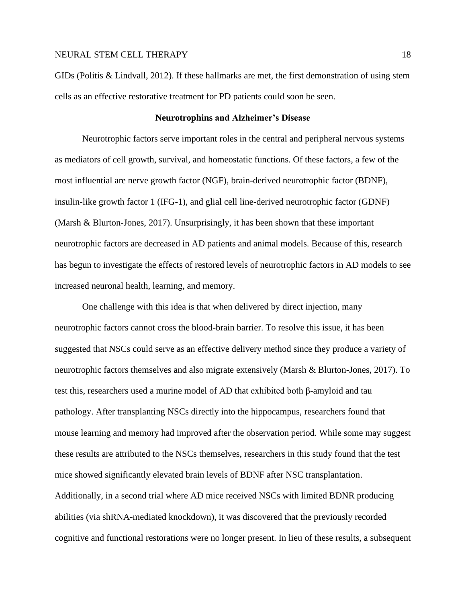GIDs (Politis & Lindvall, 2012). If these hallmarks are met, the first demonstration of using stem cells as an effective restorative treatment for PD patients could soon be seen.

#### **Neurotrophins and Alzheimer's Disease**

Neurotrophic factors serve important roles in the central and peripheral nervous systems as mediators of cell growth, survival, and homeostatic functions. Of these factors, a few of the most influential are nerve growth factor (NGF), brain-derived neurotrophic factor (BDNF), insulin-like growth factor 1 (IFG-1), and glial cell line-derived neurotrophic factor (GDNF) (Marsh & Blurton-Jones, 2017). Unsurprisingly, it has been shown that these important neurotrophic factors are decreased in AD patients and animal models. Because of this, research has begun to investigate the effects of restored levels of neurotrophic factors in AD models to see increased neuronal health, learning, and memory.

One challenge with this idea is that when delivered by direct injection, many neurotrophic factors cannot cross the blood-brain barrier. To resolve this issue, it has been suggested that NSCs could serve as an effective delivery method since they produce a variety of neurotrophic factors themselves and also migrate extensively (Marsh & Blurton-Jones, 2017). To test this, researchers used a murine model of AD that exhibited both β-amyloid and tau pathology. After transplanting NSCs directly into the hippocampus, researchers found that mouse learning and memory had improved after the observation period. While some may suggest these results are attributed to the NSCs themselves, researchers in this study found that the test mice showed significantly elevated brain levels of BDNF after NSC transplantation. Additionally, in a second trial where AD mice received NSCs with limited BDNR producing abilities (via shRNA-mediated knockdown), it was discovered that the previously recorded cognitive and functional restorations were no longer present. In lieu of these results, a subsequent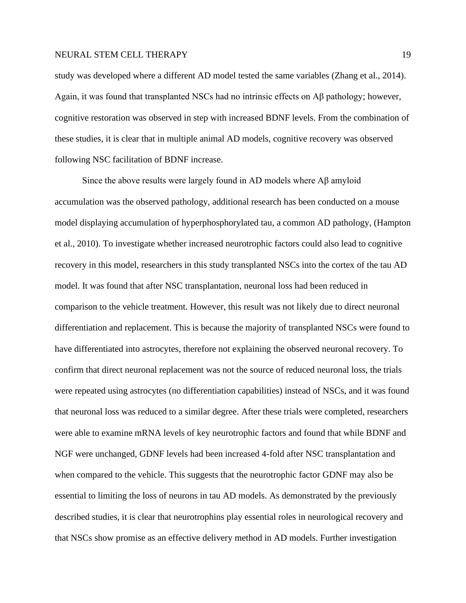study was developed where a different AD model tested the same variables (Zhang et al., 2014). Again, it was found that transplanted NSCs had no intrinsic effects on Aβ pathology; however, cognitive restoration was observed in step with increased BDNF levels. From the combination of these studies, it is clear that in multiple animal AD models, cognitive recovery was observed following NSC facilitation of BDNF increase.

Since the above results were largely found in AD models where Aβ amyloid accumulation was the observed pathology, additional research has been conducted on a mouse model displaying accumulation of hyperphosphorylated tau, a common AD pathology, (Hampton et al., 2010). To investigate whether increased neurotrophic factors could also lead to cognitive recovery in this model, researchers in this study transplanted NSCs into the cortex of the tau AD model. It was found that after NSC transplantation, neuronal loss had been reduced in comparison to the vehicle treatment. However, this result was not likely due to direct neuronal differentiation and replacement. This is because the majority of transplanted NSCs were found to have differentiated into astrocytes, therefore not explaining the observed neuronal recovery. To confirm that direct neuronal replacement was not the source of reduced neuronal loss, the trials were repeated using astrocytes (no differentiation capabilities) instead of NSCs, and it was found that neuronal loss was reduced to a similar degree. After these trials were completed, researchers were able to examine mRNA levels of key neurotrophic factors and found that while BDNF and NGF were unchanged, GDNF levels had been increased 4-fold after NSC transplantation and when compared to the vehicle. This suggests that the neurotrophic factor GDNF may also be essential to limiting the loss of neurons in tau AD models. As demonstrated by the previously described studies, it is clear that neurotrophins play essential roles in neurological recovery and that NSCs show promise as an effective delivery method in AD models. Further investigation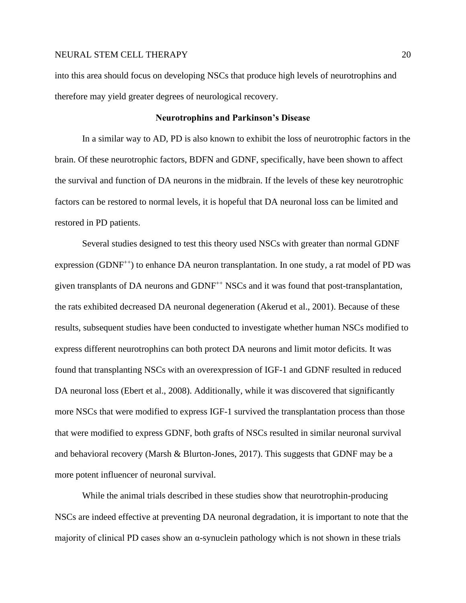into this area should focus on developing NSCs that produce high levels of neurotrophins and therefore may yield greater degrees of neurological recovery.

# **Neurotrophins and Parkinson's Disease**

In a similar way to AD, PD is also known to exhibit the loss of neurotrophic factors in the brain. Of these neurotrophic factors, BDFN and GDNF, specifically, have been shown to affect the survival and function of DA neurons in the midbrain. If the levels of these key neurotrophic factors can be restored to normal levels, it is hopeful that DA neuronal loss can be limited and restored in PD patients.

Several studies designed to test this theory used NSCs with greater than normal GDNF expression (GDNF<sup> $++$ </sup>) to enhance DA neuron transplantation. In one study, a rat model of PD was given transplants of DA neurons and GDNF++ NSCs and it was found that post-transplantation, the rats exhibited decreased DA neuronal degeneration (Akerud et al., 2001). Because of these results, subsequent studies have been conducted to investigate whether human NSCs modified to express different neurotrophins can both protect DA neurons and limit motor deficits. It was found that transplanting NSCs with an overexpression of IGF-1 and GDNF resulted in reduced DA neuronal loss (Ebert et al., 2008). Additionally, while it was discovered that significantly more NSCs that were modified to express IGF-1 survived the transplantation process than those that were modified to express GDNF, both grafts of NSCs resulted in similar neuronal survival and behavioral recovery (Marsh & Blurton-Jones, 2017). This suggests that GDNF may be a more potent influencer of neuronal survival.

While the animal trials described in these studies show that neurotrophin-producing NSCs are indeed effective at preventing DA neuronal degradation, it is important to note that the majority of clinical PD cases show an  $\alpha$ -synuclein pathology which is not shown in these trials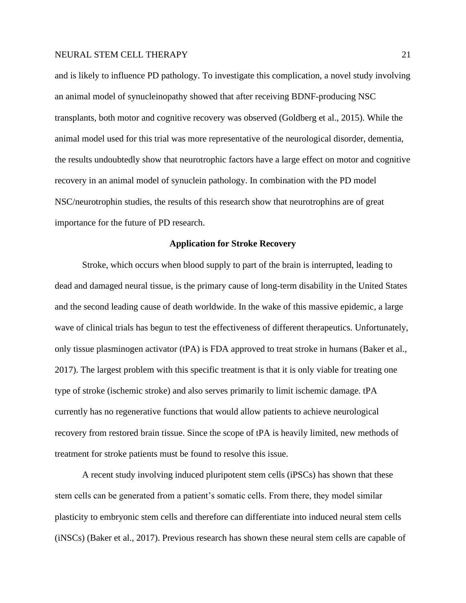and is likely to influence PD pathology. To investigate this complication, a novel study involving an animal model of synucleinopathy showed that after receiving BDNF-producing NSC transplants, both motor and cognitive recovery was observed (Goldberg et al., 2015). While the animal model used for this trial was more representative of the neurological disorder, dementia, the results undoubtedly show that neurotrophic factors have a large effect on motor and cognitive recovery in an animal model of synuclein pathology. In combination with the PD model NSC/neurotrophin studies, the results of this research show that neurotrophins are of great importance for the future of PD research.

#### **Application for Stroke Recovery**

Stroke, which occurs when blood supply to part of the brain is interrupted, leading to dead and damaged neural tissue, is the primary cause of long-term disability in the United States and the second leading cause of death worldwide. In the wake of this massive epidemic, a large wave of clinical trials has begun to test the effectiveness of different therapeutics. Unfortunately, only tissue plasminogen activator (tPA) is FDA approved to treat stroke in humans (Baker et al., 2017). The largest problem with this specific treatment is that it is only viable for treating one type of stroke (ischemic stroke) and also serves primarily to limit ischemic damage. tPA currently has no regenerative functions that would allow patients to achieve neurological recovery from restored brain tissue. Since the scope of tPA is heavily limited, new methods of treatment for stroke patients must be found to resolve this issue.

A recent study involving induced pluripotent stem cells (iPSCs) has shown that these stem cells can be generated from a patient's somatic cells. From there, they model similar plasticity to embryonic stem cells and therefore can differentiate into induced neural stem cells (iNSCs) (Baker et al., 2017). Previous research has shown these neural stem cells are capable of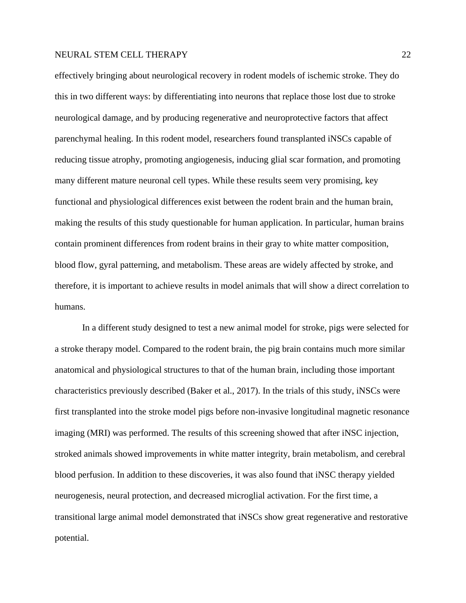effectively bringing about neurological recovery in rodent models of ischemic stroke. They do this in two different ways: by differentiating into neurons that replace those lost due to stroke neurological damage, and by producing regenerative and neuroprotective factors that affect parenchymal healing. In this rodent model, researchers found transplanted iNSCs capable of reducing tissue atrophy, promoting angiogenesis, inducing glial scar formation, and promoting many different mature neuronal cell types. While these results seem very promising, key functional and physiological differences exist between the rodent brain and the human brain, making the results of this study questionable for human application. In particular, human brains contain prominent differences from rodent brains in their gray to white matter composition, blood flow, gyral patterning, and metabolism. These areas are widely affected by stroke, and therefore, it is important to achieve results in model animals that will show a direct correlation to humans.

In a different study designed to test a new animal model for stroke, pigs were selected for a stroke therapy model. Compared to the rodent brain, the pig brain contains much more similar anatomical and physiological structures to that of the human brain, including those important characteristics previously described (Baker et al., 2017). In the trials of this study, iNSCs were first transplanted into the stroke model pigs before non-invasive longitudinal magnetic resonance imaging (MRI) was performed. The results of this screening showed that after iNSC injection, stroked animals showed improvements in white matter integrity, brain metabolism, and cerebral blood perfusion. In addition to these discoveries, it was also found that iNSC therapy yielded neurogenesis, neural protection, and decreased microglial activation. For the first time, a transitional large animal model demonstrated that iNSCs show great regenerative and restorative potential.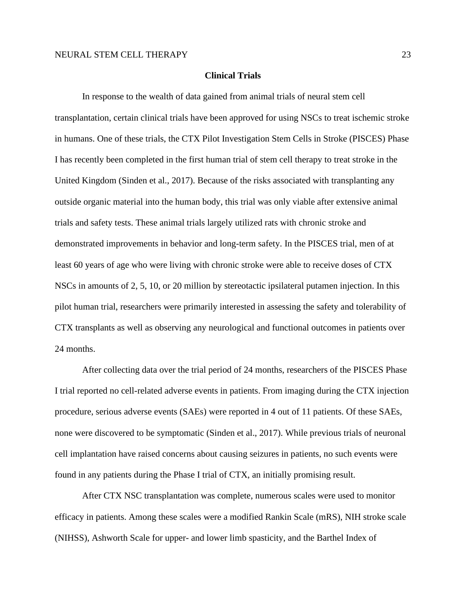# **Clinical Trials**

In response to the wealth of data gained from animal trials of neural stem cell transplantation, certain clinical trials have been approved for using NSCs to treat ischemic stroke in humans. One of these trials, the CTX Pilot Investigation Stem Cells in Stroke (PISCES) Phase I has recently been completed in the first human trial of stem cell therapy to treat stroke in the United Kingdom (Sinden et al., 2017). Because of the risks associated with transplanting any outside organic material into the human body, this trial was only viable after extensive animal trials and safety tests. These animal trials largely utilized rats with chronic stroke and demonstrated improvements in behavior and long-term safety. In the PISCES trial, men of at least 60 years of age who were living with chronic stroke were able to receive doses of CTX NSCs in amounts of 2, 5, 10, or 20 million by stereotactic ipsilateral putamen injection. In this pilot human trial, researchers were primarily interested in assessing the safety and tolerability of CTX transplants as well as observing any neurological and functional outcomes in patients over 24 months.

After collecting data over the trial period of 24 months, researchers of the PISCES Phase I trial reported no cell-related adverse events in patients. From imaging during the CTX injection procedure, serious adverse events (SAEs) were reported in 4 out of 11 patients. Of these SAEs, none were discovered to be symptomatic (Sinden et al., 2017). While previous trials of neuronal cell implantation have raised concerns about causing seizures in patients, no such events were found in any patients during the Phase I trial of CTX, an initially promising result.

After CTX NSC transplantation was complete, numerous scales were used to monitor efficacy in patients. Among these scales were a modified Rankin Scale (mRS), NIH stroke scale (NIHSS), Ashworth Scale for upper- and lower limb spasticity, and the Barthel Index of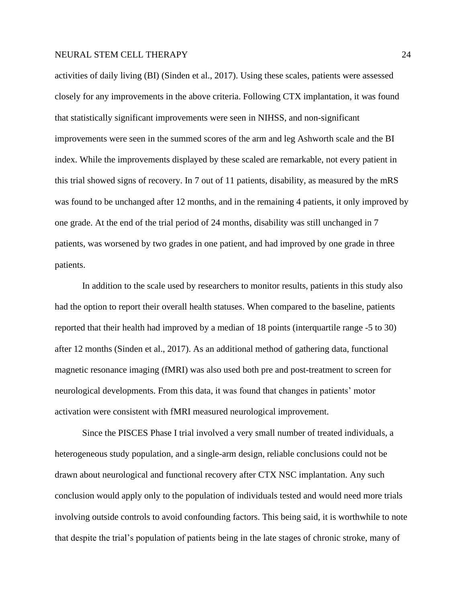activities of daily living (BI) (Sinden et al., 2017). Using these scales, patients were assessed closely for any improvements in the above criteria. Following CTX implantation, it was found that statistically significant improvements were seen in NIHSS, and non-significant improvements were seen in the summed scores of the arm and leg Ashworth scale and the BI index. While the improvements displayed by these scaled are remarkable, not every patient in this trial showed signs of recovery. In 7 out of 11 patients, disability, as measured by the mRS was found to be unchanged after 12 months, and in the remaining 4 patients, it only improved by one grade. At the end of the trial period of 24 months, disability was still unchanged in 7 patients, was worsened by two grades in one patient, and had improved by one grade in three patients.

In addition to the scale used by researchers to monitor results, patients in this study also had the option to report their overall health statuses. When compared to the baseline, patients reported that their health had improved by a median of 18 points (interquartile range -5 to 30) after 12 months (Sinden et al., 2017). As an additional method of gathering data, functional magnetic resonance imaging (fMRI) was also used both pre and post-treatment to screen for neurological developments. From this data, it was found that changes in patients' motor activation were consistent with fMRI measured neurological improvement.

Since the PISCES Phase I trial involved a very small number of treated individuals, a heterogeneous study population, and a single-arm design, reliable conclusions could not be drawn about neurological and functional recovery after CTX NSC implantation. Any such conclusion would apply only to the population of individuals tested and would need more trials involving outside controls to avoid confounding factors. This being said, it is worthwhile to note that despite the trial's population of patients being in the late stages of chronic stroke, many of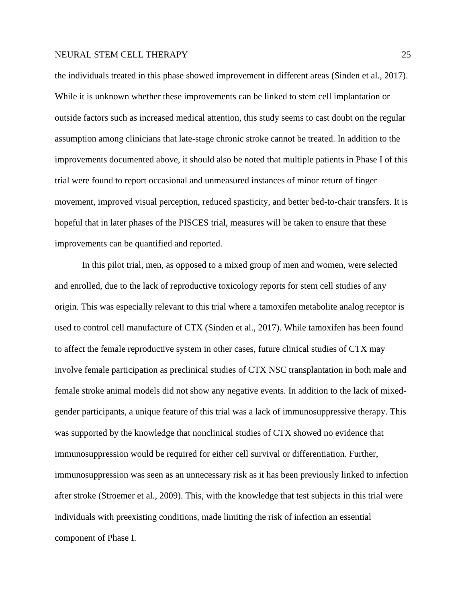the individuals treated in this phase showed improvement in different areas (Sinden et al., 2017). While it is unknown whether these improvements can be linked to stem cell implantation or outside factors such as increased medical attention, this study seems to cast doubt on the regular assumption among clinicians that late-stage chronic stroke cannot be treated. In addition to the improvements documented above, it should also be noted that multiple patients in Phase I of this trial were found to report occasional and unmeasured instances of minor return of finger movement, improved visual perception, reduced spasticity, and better bed-to-chair transfers. It is hopeful that in later phases of the PISCES trial, measures will be taken to ensure that these improvements can be quantified and reported.

In this pilot trial, men, as opposed to a mixed group of men and women, were selected and enrolled, due to the lack of reproductive toxicology reports for stem cell studies of any origin. This was especially relevant to this trial where a tamoxifen metabolite analog receptor is used to control cell manufacture of CTX (Sinden et al., 2017). While tamoxifen has been found to affect the female reproductive system in other cases, future clinical studies of CTX may involve female participation as preclinical studies of CTX NSC transplantation in both male and female stroke animal models did not show any negative events. In addition to the lack of mixedgender participants, a unique feature of this trial was a lack of immunosuppressive therapy. This was supported by the knowledge that nonclinical studies of CTX showed no evidence that immunosuppression would be required for either cell survival or differentiation. Further, immunosuppression was seen as an unnecessary risk as it has been previously linked to infection after stroke (Stroemer et al., 2009). This, with the knowledge that test subjects in this trial were individuals with preexisting conditions, made limiting the risk of infection an essential component of Phase I.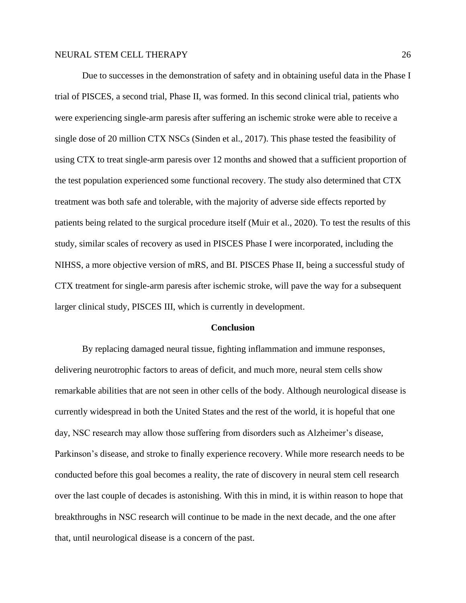Due to successes in the demonstration of safety and in obtaining useful data in the Phase I trial of PISCES, a second trial, Phase II, was formed. In this second clinical trial, patients who were experiencing single-arm paresis after suffering an ischemic stroke were able to receive a single dose of 20 million CTX NSCs (Sinden et al., 2017). This phase tested the feasibility of using CTX to treat single-arm paresis over 12 months and showed that a sufficient proportion of the test population experienced some functional recovery. The study also determined that CTX treatment was both safe and tolerable, with the majority of adverse side effects reported by patients being related to the surgical procedure itself (Muir et al., 2020). To test the results of this study, similar scales of recovery as used in PISCES Phase I were incorporated, including the NIHSS, a more objective version of mRS, and BI. PISCES Phase II, being a successful study of CTX treatment for single-arm paresis after ischemic stroke, will pave the way for a subsequent larger clinical study, PISCES III, which is currently in development.

#### **Conclusion**

By replacing damaged neural tissue, fighting inflammation and immune responses, delivering neurotrophic factors to areas of deficit, and much more, neural stem cells show remarkable abilities that are not seen in other cells of the body. Although neurological disease is currently widespread in both the United States and the rest of the world, it is hopeful that one day, NSC research may allow those suffering from disorders such as Alzheimer's disease, Parkinson's disease, and stroke to finally experience recovery. While more research needs to be conducted before this goal becomes a reality, the rate of discovery in neural stem cell research over the last couple of decades is astonishing. With this in mind, it is within reason to hope that breakthroughs in NSC research will continue to be made in the next decade, and the one after that, until neurological disease is a concern of the past.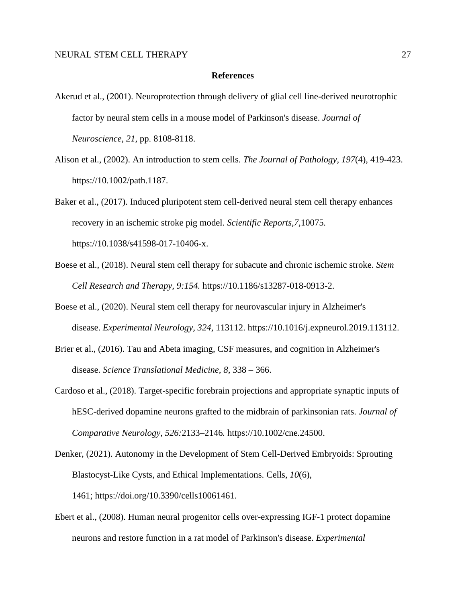#### **References**

- Akerud et al., (2001). Neuroprotection through delivery of glial cell line-derived neurotrophic factor by neural stem cells in a mouse model of Parkinson's disease. *Journal of Neuroscience, 21*, pp. 8108-8118.
- Alison et al., (2002). An introduction to stem cells. *The Journal of Pathology, 197*(4), 419-423. https://10.1002/path.1187.
- Baker et al., (2017). Induced pluripotent stem cell-derived neural stem cell therapy enhances recovery in an ischemic stroke pig model. *Scientific Reports,7,*10075*.* https://10.1038/s41598-017-10406-x.
- Boese et al., (2018). Neural stem cell therapy for subacute and chronic ischemic stroke. *Stem Cell Research and Therapy, 9:154.* https://10.1186/s13287-018-0913-2.
- Boese et al., (2020). Neural stem cell therapy for neurovascular injury in Alzheimer's disease. *Experimental Neurology, 324*, 113112. https://10.1016/j.expneurol.2019.113112.
- [Brier et al., \(2016\)](https://www.sciencedirect.com/science/article/pii/S0014488619302596?via%3Dihub#bbb0170). Tau and Abeta imaging, CSF measures, and cognition in Alzheimer's disease. *Science Translational Medicine, 8*, 338 – 366.
- Cardoso et al., (2018). Target-specific forebrain projections and appropriate synaptic inputs of hESC-derived dopamine neurons grafted to the midbrain of parkinsonian rats. *Journal of Comparative Neurology, 526:*2133–2146*.* https://10.1002/cne.24500.
- Denker, (2021). Autonomy in the Development of Stem Cell-Derived Embryoids: Sprouting Blastocyst-Like Cysts, and Ethical Implementations. Cells, *10*(6), 1461; [https://doi.org/10.3390/cells10061461.](https://doi.org/10.3390/cells10061461)
- Ebert et al., (2008). Human neural progenitor cells over-expressing IGF-1 protect dopamine neurons and restore function in a rat model of Parkinson's disease. *Experimental*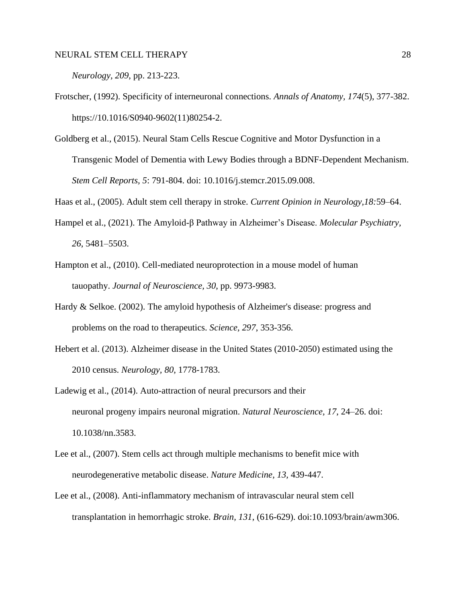*Neurology, 209*, pp. 213-223.

- Frotscher, (1992). Specificity of interneuronal connections. *Annals of Anatomy, 174*(5), 377-382. https://10.1016/S0940-9602(11)80254-2.
- Goldberg et al., (2015). Neural Stam Cells Rescue Cognitive and Motor Dysfunction in a Transgenic Model of Dementia with Lewy Bodies through a BDNF-Dependent Mechanism. *Stem Cell Reports, 5*: 791-804. doi: 10.1016/j.stemcr.2015.09.008.

Haas et al., (2005). Adult stem cell therapy in stroke. *Current Opinion in Neurology,18:*59–64.

- Hampel et al., (2021). The Amyloid-β Pathway in Alzheimer's Disease. *Molecular Psychiatry, 26*, 5481–5503.
- Hampton et al., (2010). Cell-mediated neuroprotection in a mouse model of human tauopathy. *Journal of Neuroscience, 30*, pp. 9973-9983.
- Hardy & [Selkoe. \(2002\)](https://www.sciencedirect.com/science/article/pii/S0014488619302596?via%3Dihub#bbb0495). The amyloid hypothesis of Alzheimer's disease: progress and problems on the road to therapeutics. *Science, 297*, 353-356.
- [Hebert et al. \(2013\)](https://www.sciencedirect.com/science/article/pii/S0014488619302596?via%3Dihub#bbb0520). Alzheimer disease in the United States (2010-2050) estimated using the 2010 census. *Neurology, 80*, 1778-1783.
- Ladewig et al., (2014). Auto-attraction of neural precursors and their neuronal progeny impairs neuronal migration. *Natural Neuroscience, 17*, 24–26. doi: 10.1038/nn.3583.
- Lee et al., (2007). Stem cells act through multiple mechanisms to benefit mice with neurodegenerative metabolic disease. *Nature Medicine, 13,* 439-447.
- Lee et al., (2008). Anti-inflammatory mechanism of intravascular neural stem cell transplantation in hemorrhagic stroke. *Brain, 131*, (616-629). doi:10.1093/brain/awm306.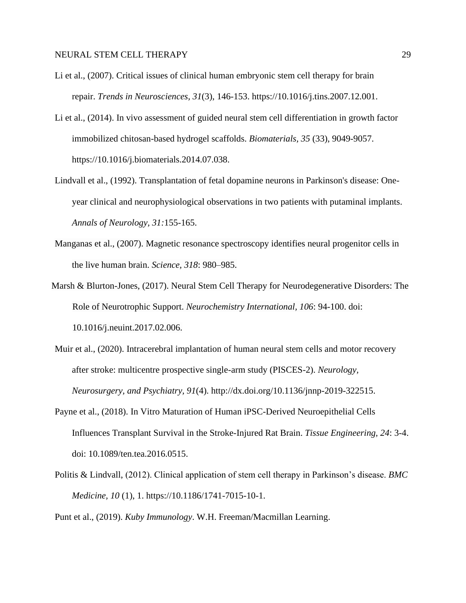- Li et al., (2007). Critical issues of clinical human embryonic stem cell therapy for brain repair. *Trends in Neurosciences, 31*(3), 146-153. https://10.1016/j.tins.2007.12.001.
- Li et al., (2014). In vivo assessment of guided neural stem cell differentiation in growth factor immobilized chitosan-based hydrogel scaffolds. *Biomaterials, 35* (33), 9049-9057. https://10.1016/j.biomaterials.2014.07.038.
- Lindvall et al., (1992). Transplantation of fetal dopamine neurons in Parkinson's disease: Oneyear clinical and neurophysiological observations in two patients with putaminal implants. *Annals of Neurology, 31:*155-165.
- Manganas et al., (2007). Magnetic resonance spectroscopy identifies neural progenitor cells in the live human brain. *Science, 318*: 980–985.
- Marsh & Blurton-Jones, (2017). Neural Stem Cell Therapy for Neurodegenerative Disorders: The Role of Neurotrophic Support. *Neurochemistry International, 106*: 94-100. doi: 10.1016/j.neuint.2017.02.006.
- Muir et al., (2020). Intracerebral implantation of human neural stem cells and motor recovery after stroke: multicentre prospective single-arm study (PISCES-2). *Neurology, Neurosurgery, and Psychiatry, 91*(4). [http://dx.doi.org/10.1136/jnnp-2019-322515.](http://dx.doi.org/10.1136/jnnp-2019-322515)
- Payne et al., (2018). In Vitro Maturation of Human iPSC-Derived Neuroepithelial Cells Influences Transplant Survival in the Stroke-Injured Rat Brain. *Tissue Engineering, 24*: 3-4. doi: 10.1089/ten.tea.2016.0515.
- Politis & Lindvall, (2012). Clinical application of stem cell therapy in Parkinson's disease. *BMC Medicine, 10* (1), 1. https://10.1186/1741-7015-10-1.

Punt et al., (2019). *Kuby Immunology*. W.H. Freeman/Macmillan Learning.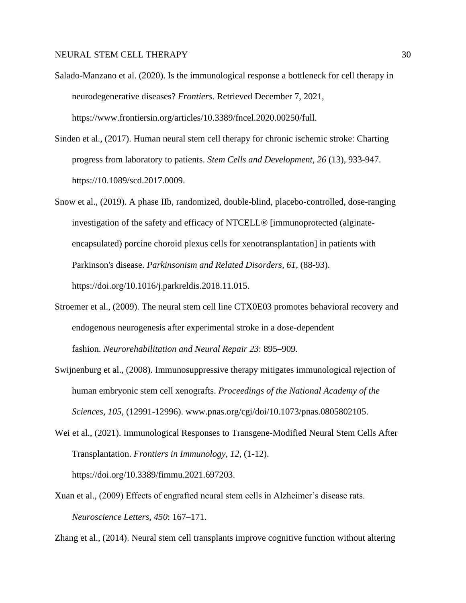- Salado-Manzano et al. (2020). Is the immunological response a bottleneck for cell therapy in neurodegenerative diseases? *Frontiers*. Retrieved December 7, 2021, https://www.frontiersin.org/articles/10.3389/fncel.2020.00250/full.
- Sinden et al., (2017). Human neural stem cell therapy for chronic ischemic stroke: Charting progress from laboratory to patients. *Stem Cells and Development, 26* (13), 933-947. https://10.1089/scd.2017.0009.
- Snow et al., (2019). A phase IIb, randomized, double-blind, placebo-controlled, dose-ranging investigation of the safety and efficacy of NTCELL® [immunoprotected (alginateencapsulated) porcine choroid plexus cells for xenotransplantation] in patients with Parkinson's disease. *Parkinsonism and Related Disorders, 61*, (88-93). [https://doi.org/10.1016/j.parkreldis.2018.11.015.](https://doi.org/10.1016/j.parkreldis.2018.11.015)
- Stroemer et al., (2009). The neural stem cell line CTX0E03 promotes behavioral recovery and endogenous neurogenesis after experimental stroke in a dose-dependent fashion. *Neurorehabilitation and Neural Repair 23*: 895–909.
- Swijnenburg et al., (2008). Immunosuppressive therapy mitigates immunological rejection of human embryonic stem cell xenografts. *Proceedings of the National Academy of the Sciences, 105*, (12991-12996). www.pnas.org/cgi/doi/10.1073/pnas.0805802105.
- Wei et al., (2021). Immunological Responses to Transgene-Modified Neural Stem Cells After Transplantation. *Frontiers in Immunology, 12*, (1-12).

https://doi.org/10.3389/fimmu.2021.697203.

Xuan et al., (2009) Effects of engrafted neural stem cells in Alzheimer's disease rats. *Neuroscience Letters, 450*: 167–171.

Zhang et al., (2014). Neural stem cell transplants improve cognitive function without altering